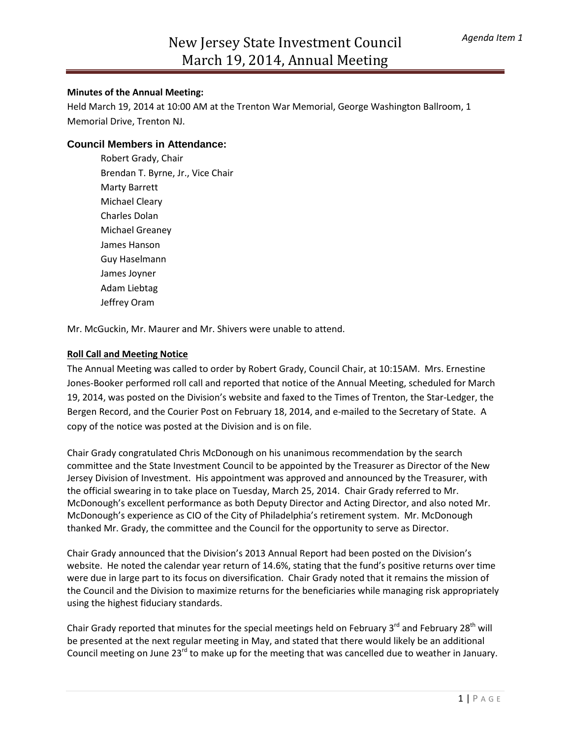### **Minutes of the Annual Meeting:**

Held March 19, 2014 at 10:00 AM at the Trenton War Memorial, George Washington Ballroom, 1 Memorial Drive, Trenton NJ.

## **Council Members in Attendance:**

Robert Grady, Chair Brendan T. Byrne, Jr., Vice Chair Marty Barrett Michael Cleary Charles Dolan Michael Greaney James Hanson Guy Haselmann James Joyner Adam Liebtag Jeffrey Oram

Mr. McGuckin, Mr. Maurer and Mr. Shivers were unable to attend.

#### **Roll Call and Meeting Notice**

The Annual Meeting was called to order by Robert Grady, Council Chair, at 10:15AM. Mrs. Ernestine Jones-Booker performed roll call and reported that notice of the Annual Meeting, scheduled for March 19, 2014, was posted on the Division's website and faxed to the Times of Trenton, the Star-Ledger, the Bergen Record, and the Courier Post on February 18, 2014, and e-mailed to the Secretary of State. A copy of the notice was posted at the Division and is on file.

Chair Grady congratulated Chris McDonough on his unanimous recommendation by the search committee and the State Investment Council to be appointed by the Treasurer as Director of the New Jersey Division of Investment. His appointment was approved and announced by the Treasurer, with the official swearing in to take place on Tuesday, March 25, 2014. Chair Grady referred to Mr. McDonough's excellent performance as both Deputy Director and Acting Director, and also noted Mr. McDonough's experience as CIO of the City of Philadelphia's retirement system. Mr. McDonough thanked Mr. Grady, the committee and the Council for the opportunity to serve as Director.

Chair Grady announced that the Division's 2013 Annual Report had been posted on the Division's website. He noted the calendar year return of 14.6%, stating that the fund's positive returns over time were due in large part to its focus on diversification. Chair Grady noted that it remains the mission of the Council and the Division to maximize returns for the beneficiaries while managing risk appropriately using the highest fiduciary standards.

Chair Grady reported that minutes for the special meetings held on February 3 $^{rd}$  and February 28<sup>th</sup> will be presented at the next regular meeting in May, and stated that there would likely be an additional Council meeting on June 23<sup>rd</sup> to make up for the meeting that was cancelled due to weather in January.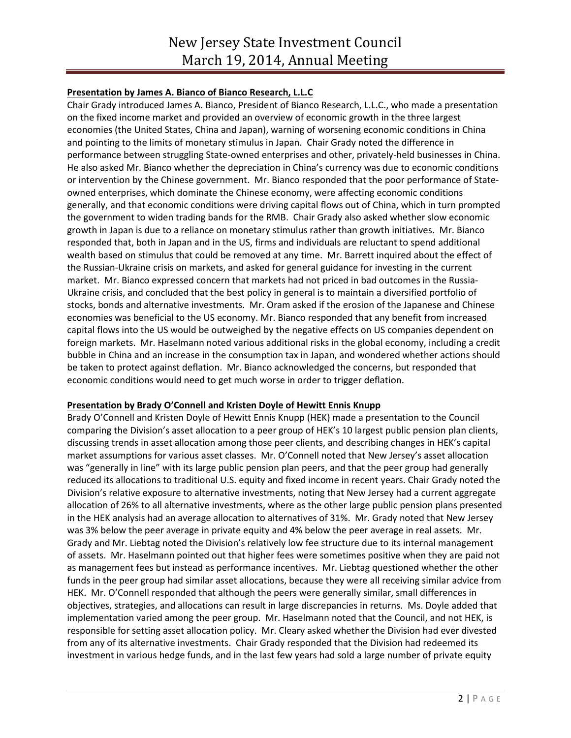# **Presentation by James A. Bianco of Bianco Research, L.L.C**

Chair Grady introduced James A. Bianco, President of Bianco Research, L.L.C., who made a presentation on the fixed income market and provided an overview of economic growth in the three largest economies (the United States, China and Japan), warning of worsening economic conditions in China and pointing to the limits of monetary stimulus in Japan. Chair Grady noted the difference in performance between struggling State-owned enterprises and other, privately-held businesses in China. He also asked Mr. Bianco whether the depreciation in China's currency was due to economic conditions or intervention by the Chinese government. Mr. Bianco responded that the poor performance of Stateowned enterprises, which dominate the Chinese economy, were affecting economic conditions generally, and that economic conditions were driving capital flows out of China, which in turn prompted the government to widen trading bands for the RMB. Chair Grady also asked whether slow economic growth in Japan is due to a reliance on monetary stimulus rather than growth initiatives. Mr. Bianco responded that, both in Japan and in the US, firms and individuals are reluctant to spend additional wealth based on stimulus that could be removed at any time. Mr. Barrett inquired about the effect of the Russian-Ukraine crisis on markets, and asked for general guidance for investing in the current market. Mr. Bianco expressed concern that markets had not priced in bad outcomes in the Russia-Ukraine crisis, and concluded that the best policy in general is to maintain a diversified portfolio of stocks, bonds and alternative investments. Mr. Oram asked if the erosion of the Japanese and Chinese economies was beneficial to the US economy. Mr. Bianco responded that any benefit from increased capital flows into the US would be outweighed by the negative effects on US companies dependent on foreign markets. Mr. Haselmann noted various additional risks in the global economy, including a credit bubble in China and an increase in the consumption tax in Japan, and wondered whether actions should be taken to protect against deflation. Mr. Bianco acknowledged the concerns, but responded that economic conditions would need to get much worse in order to trigger deflation.

### **Presentation by Brady O'Connell and Kristen Doyle of Hewitt Ennis Knupp**

Brady O'Connell and Kristen Doyle of Hewitt Ennis Knupp (HEK) made a presentation to the Council comparing the Division's asset allocation to a peer group of HEK's 10 largest public pension plan clients, discussing trends in asset allocation among those peer clients, and describing changes in HEK's capital market assumptions for various asset classes. Mr. O'Connell noted that New Jersey's asset allocation was "generally in line" with its large public pension plan peers, and that the peer group had generally reduced its allocations to traditional U.S. equity and fixed income in recent years. Chair Grady noted the Division's relative exposure to alternative investments, noting that New Jersey had a current aggregate allocation of 26% to all alternative investments, where as the other large public pension plans presented in the HEK analysis had an average allocation to alternatives of 31%. Mr. Grady noted that New Jersey was 3% below the peer average in private equity and 4% below the peer average in real assets. Mr. Grady and Mr. Liebtag noted the Division's relatively low fee structure due to its internal management of assets. Mr. Haselmann pointed out that higher fees were sometimes positive when they are paid not as management fees but instead as performance incentives. Mr. Liebtag questioned whether the other funds in the peer group had similar asset allocations, because they were all receiving similar advice from HEK. Mr. O'Connell responded that although the peers were generally similar, small differences in objectives, strategies, and allocations can result in large discrepancies in returns. Ms. Doyle added that implementation varied among the peer group. Mr. Haselmann noted that the Council, and not HEK, is responsible for setting asset allocation policy. Mr. Cleary asked whether the Division had ever divested from any of its alternative investments. Chair Grady responded that the Division had redeemed its investment in various hedge funds, and in the last few years had sold a large number of private equity